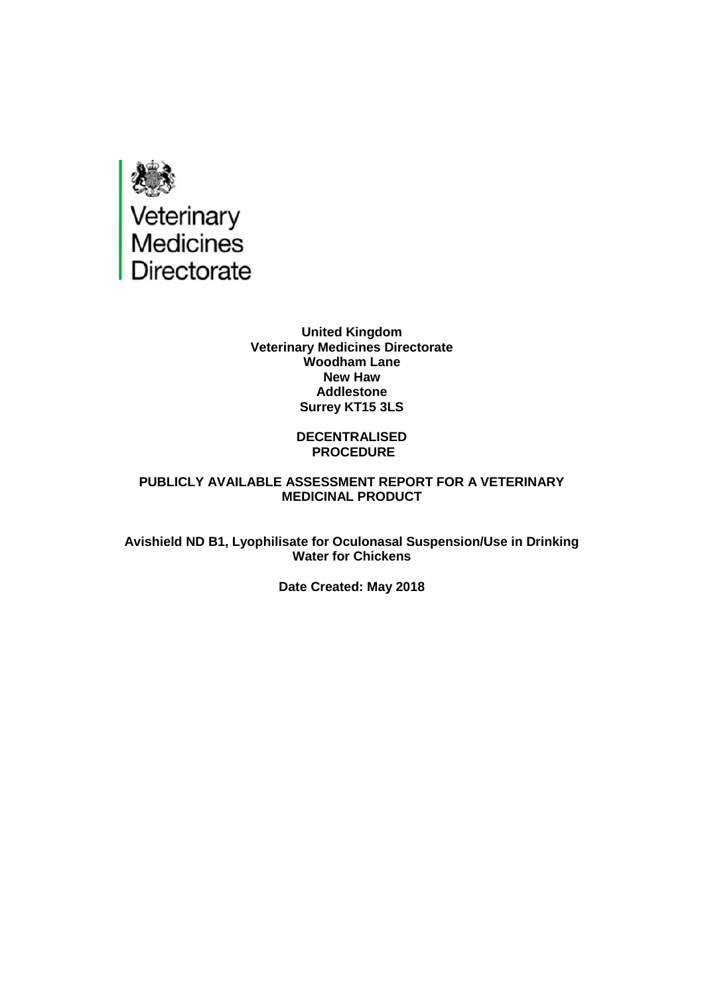

#### **United Kingdom Veterinary Medicines Directorate Woodham Lane New Haw Addlestone Surrey KT15 3LS**

#### **DECENTRALISED PROCEDURE**

#### **PUBLICLY AVAILABLE ASSESSMENT REPORT FOR A VETERINARY MEDICINAL PRODUCT**

**Avishield ND B1, Lyophilisate for Oculonasal Suspension/Use in Drinking Water for Chickens**

**Date Created: May 2018**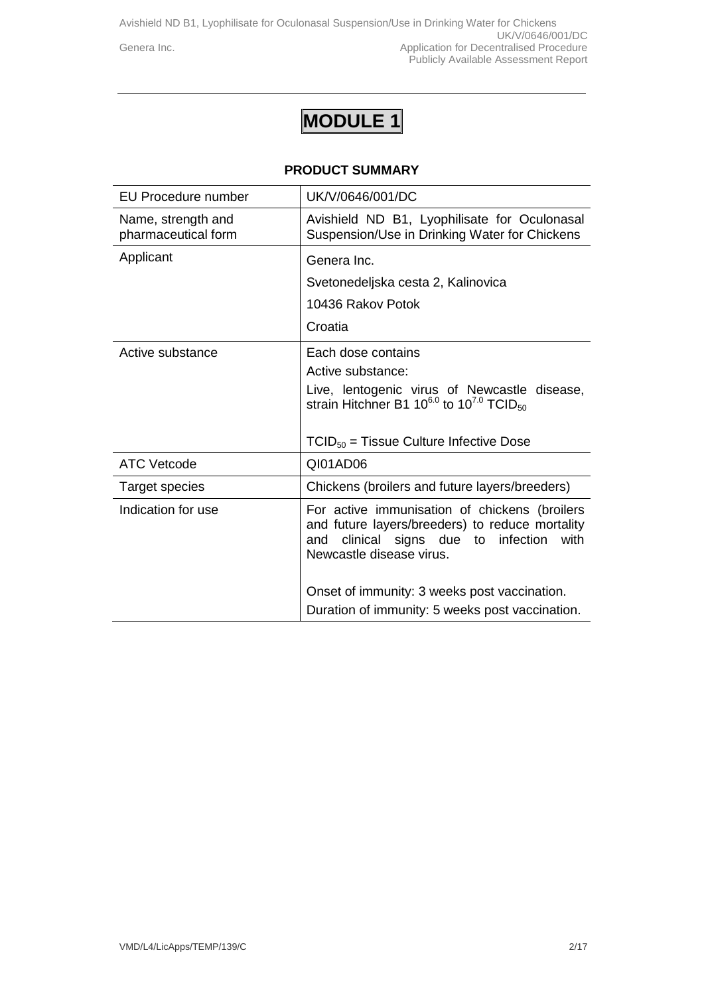Avishield ND B1, Lyophilisate for Oculonasal Suspension/Use in Drinking Water for Chickens UK/V/0646/001/DC Genera Inc. **Generally** Genera Inc. Publicly Available Assessment Report

# **MODULE 1**

#### **PRODUCT SUMMARY**

| EU Procedure number                       | UK/V/0646/001/DC                                                                                                                                                               |
|-------------------------------------------|--------------------------------------------------------------------------------------------------------------------------------------------------------------------------------|
| Name, strength and<br>pharmaceutical form | Avishield ND B1, Lyophilisate for Oculonasal<br>Suspension/Use in Drinking Water for Chickens                                                                                  |
| Applicant                                 | Genera Inc.                                                                                                                                                                    |
|                                           | Svetonedeljska cesta 2, Kalinovica                                                                                                                                             |
|                                           | 10436 Rakov Potok                                                                                                                                                              |
|                                           | Croatia                                                                                                                                                                        |
| Active substance                          | Each dose contains                                                                                                                                                             |
|                                           | Active substance:                                                                                                                                                              |
|                                           | Live, lentogenic virus of Newcastle disease,<br>strain Hitchner B1 $10^{6.0}$ to $10^{7.0}$ TCID <sub>50</sub>                                                                 |
|                                           | $TCID_{50}$ = Tissue Culture Infective Dose                                                                                                                                    |
| <b>ATC Vetcode</b>                        | QI01AD06                                                                                                                                                                       |
| Target species                            | Chickens (broilers and future layers/breeders)                                                                                                                                 |
| Indication for use                        | For active immunisation of chickens (broilers<br>and future layers/breeders) to reduce mortality<br>clinical signs due to infection<br>with<br>and<br>Newcastle disease virus. |
|                                           | Onset of immunity: 3 weeks post vaccination.                                                                                                                                   |
|                                           | Duration of immunity: 5 weeks post vaccination.                                                                                                                                |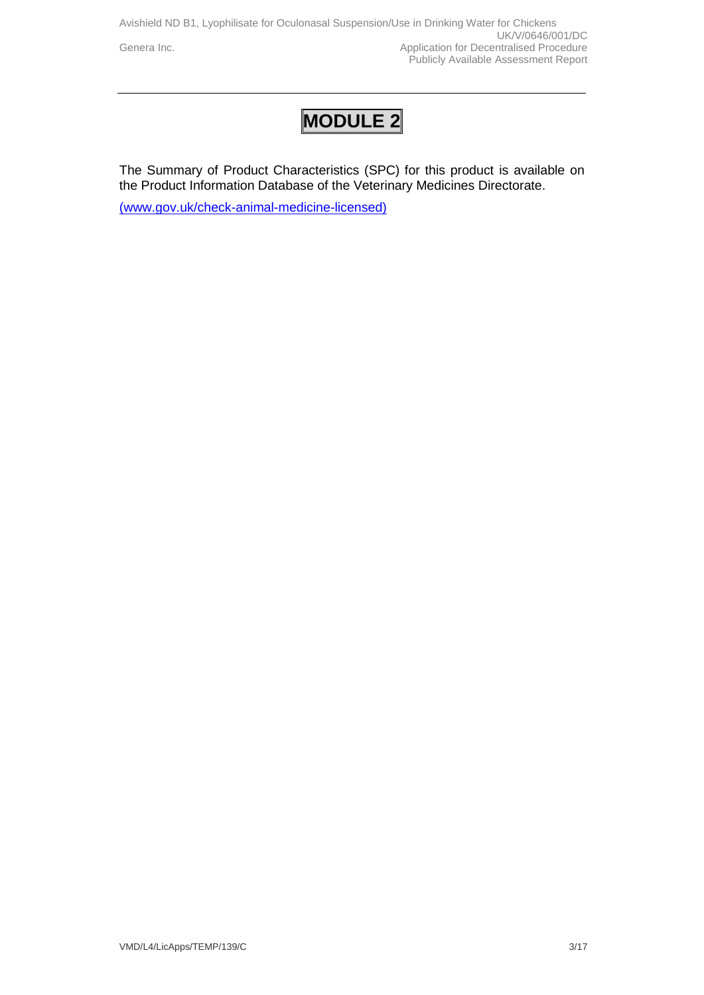## **MODULE 2**

The Summary of Product Characteristics (SPC) for this product is available on the Product Information Database of the Veterinary Medicines Directorate.

[\(www.gov.uk/check-animal-medicine-licensed\)](http://(www.gov.uk/check-animal-medicine-licensed))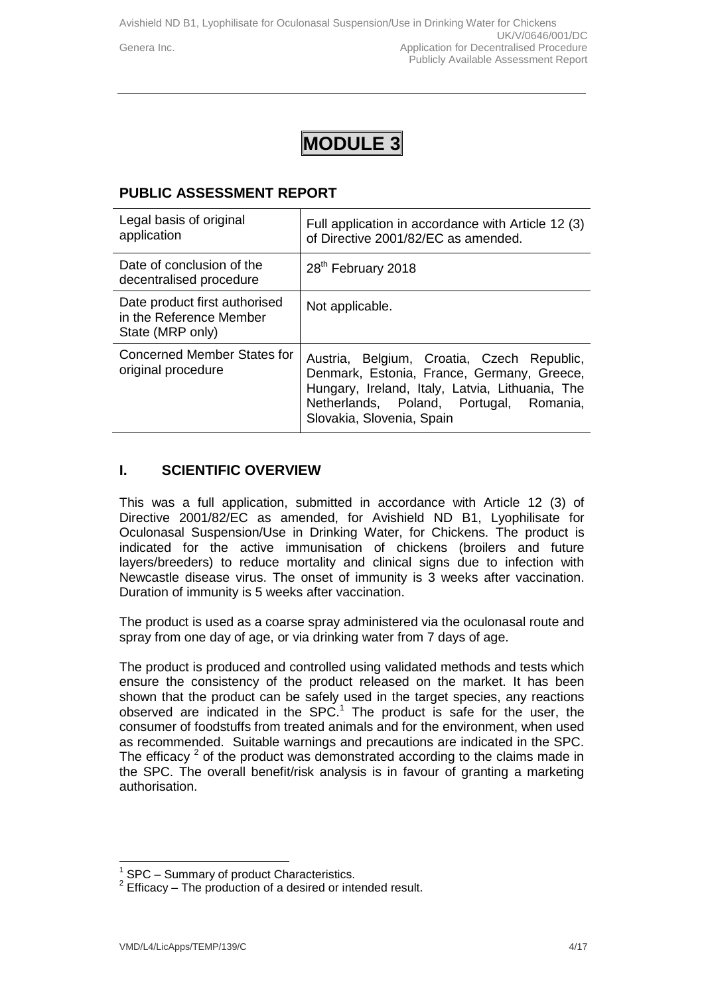## **MODULE 3**

## **PUBLIC ASSESSMENT REPORT**

| Legal basis of original<br>application                                       | Full application in accordance with Article 12 (3)<br>of Directive 2001/82/EC as amended.                                                                                                                           |
|------------------------------------------------------------------------------|---------------------------------------------------------------------------------------------------------------------------------------------------------------------------------------------------------------------|
| Date of conclusion of the<br>decentralised procedure                         | 28 <sup>th</sup> February 2018                                                                                                                                                                                      |
| Date product first authorised<br>in the Reference Member<br>State (MRP only) | Not applicable.                                                                                                                                                                                                     |
| Concerned Member States for<br>original procedure                            | Austria, Belgium, Croatia, Czech Republic,<br>Denmark, Estonia, France, Germany, Greece,<br>Hungary, Ireland, Italy, Latvia, Lithuania, The<br>Netherlands, Poland, Portugal, Romania,<br>Slovakia, Slovenia, Spain |

### **I. SCIENTIFIC OVERVIEW**

This was a full application, submitted in accordance with Article 12 (3) of Directive 2001/82/EC as amended, for Avishield ND B1, Lyophilisate for Oculonasal Suspension/Use in Drinking Water, for Chickens. The product is indicated for the active immunisation of chickens (broilers and future layers/breeders) to reduce mortality and clinical signs due to infection with Newcastle disease virus. The onset of immunity is 3 weeks after vaccination. Duration of immunity is 5 weeks after vaccination.

The product is used as a coarse spray administered via the oculonasal route and spray from one day of age, or via drinking water from 7 days of age.

The product is produced and controlled using validated methods and tests which ensure the consistency of the product released on the market. It has been shown that the product can be safely used in the target species, any reactions observed are indicated in the SPC.<sup>1</sup> The product is safe for the user, the consumer of foodstuffs from treated animals and for the environment, when used as recommended. Suitable warnings and precautions are indicated in the SPC. The efficacy  $2$  of the product was demonstrated according to the claims made in the SPC. The overall benefit/risk analysis is in favour of granting a marketing authorisation.

 $\frac{1}{1}$ SPC – Summary of product Characteristics.

 $2$  Efficacy – The production of a desired or intended result.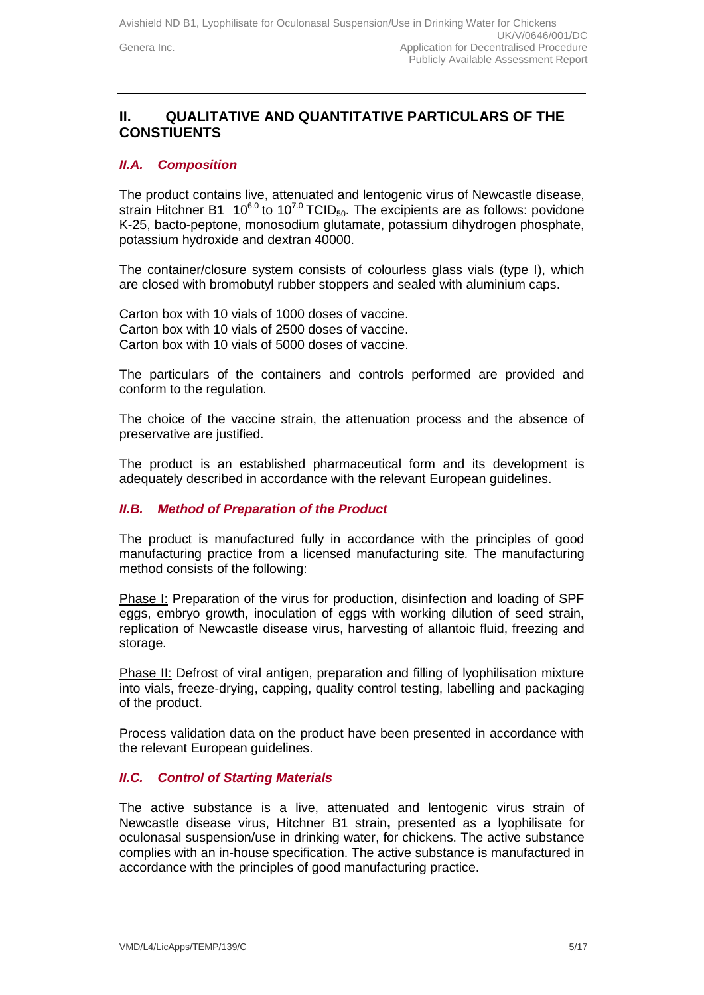## **II. QUALITATIVE AND QUANTITATIVE PARTICULARS OF THE CONSTIUENTS**

#### *II.A. Composition*

The product contains live, attenuated and lentogenic virus of Newcastle disease, strain Hitchner B1 10<sup>6.0</sup> to 10<sup>7.0</sup> TCID<sub>50</sub>. The excipients are as follows: povidone K-25, bacto-peptone, monosodium glutamate, potassium dihydrogen phosphate, potassium hydroxide and dextran 40000.

The container/closure system consists of colourless glass vials (type I), which are closed with bromobutyl rubber stoppers and sealed with aluminium caps.

Carton box with 10 vials of 1000 doses of vaccine. Carton box with 10 vials of 2500 doses of vaccine. Carton box with 10 vials of 5000 doses of vaccine.

The particulars of the containers and controls performed are provided and conform to the regulation.

The choice of the vaccine strain, the attenuation process and the absence of preservative are justified.

The product is an established pharmaceutical form and its development is adequately described in accordance with the relevant European guidelines.

#### *II.B. Method of Preparation of the Product*

The product is manufactured fully in accordance with the principles of good manufacturing practice from a licensed manufacturing site*.* The manufacturing method consists of the following:

Phase I: Preparation of the virus for production, disinfection and loading of SPF eggs, embryo growth, inoculation of eggs with working dilution of seed strain, replication of Newcastle disease virus, harvesting of allantoic fluid, freezing and storage.

Phase II: Defrost of viral antigen, preparation and filling of lyophilisation mixture into vials, freeze-drying, capping, quality control testing, labelling and packaging of the product.

Process validation data on the product have been presented in accordance with the relevant European guidelines.

#### *II.C. Control of Starting Materials*

The active substance is a live, attenuated and lentogenic virus strain of Newcastle disease virus, Hitchner B1 strain**,** presented as a lyophilisate for oculonasal suspension/use in drinking water, for chickens. The active substance complies with an in-house specification. The active substance is manufactured in accordance with the principles of good manufacturing practice.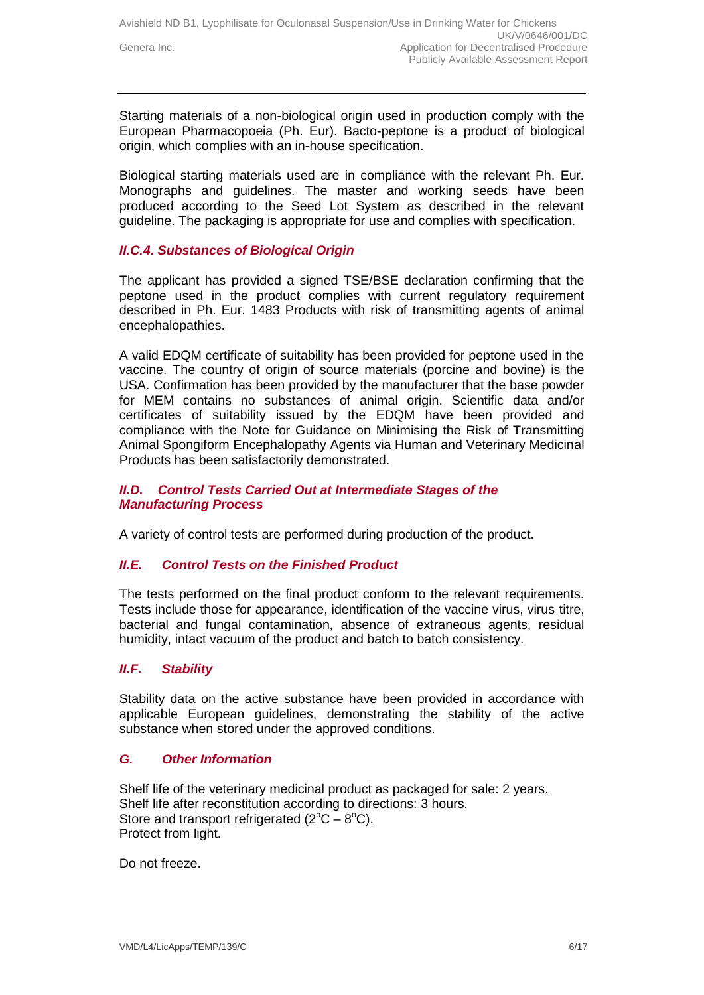Starting materials of a non-biological origin used in production comply with the European Pharmacopoeia (Ph. Eur). Bacto-peptone is a product of biological origin, which complies with an in-house specification.

Biological starting materials used are in compliance with the relevant Ph. Eur. Monographs and guidelines. The master and working seeds have been produced according to the Seed Lot System as described in the relevant guideline. The packaging is appropriate for use and complies with specification.

#### *II.C.4. Substances of Biological Origin*

The applicant has provided a signed TSE/BSE declaration confirming that the peptone used in the product complies with current regulatory requirement described in Ph. Eur. 1483 Products with risk of transmitting agents of animal encephalopathies.

A valid EDQM certificate of suitability has been provided for peptone used in the vaccine. The country of origin of source materials (porcine and bovine) is the USA. Confirmation has been provided by the manufacturer that the base powder for MEM contains no substances of animal origin. Scientific data and/or certificates of suitability issued by the EDQM have been provided and compliance with the Note for Guidance on Minimising the Risk of Transmitting Animal Spongiform Encephalopathy Agents via Human and Veterinary Medicinal Products has been satisfactorily demonstrated.

#### *II.D. Control Tests Carried Out at Intermediate Stages of the Manufacturing Process*

A variety of control tests are performed during production of the product.

#### *II.E. Control Tests on the Finished Product*

The tests performed on the final product conform to the relevant requirements. Tests include those for appearance, identification of the vaccine virus, virus titre, bacterial and fungal contamination, absence of extraneous agents, residual humidity, intact vacuum of the product and batch to batch consistency.

### *II.F. Stability*

Stability data on the active substance have been provided in accordance with applicable European guidelines, demonstrating the stability of the active substance when stored under the approved conditions.

#### *G. Other Information*

Shelf life of the veterinary medicinal product as packaged for sale: 2 years. Shelf life after reconstitution according to directions: 3 hours. Store and transport refrigerated  $(2^{\circ}C - 8^{\circ}C)$ . Protect from light.

Do not freeze.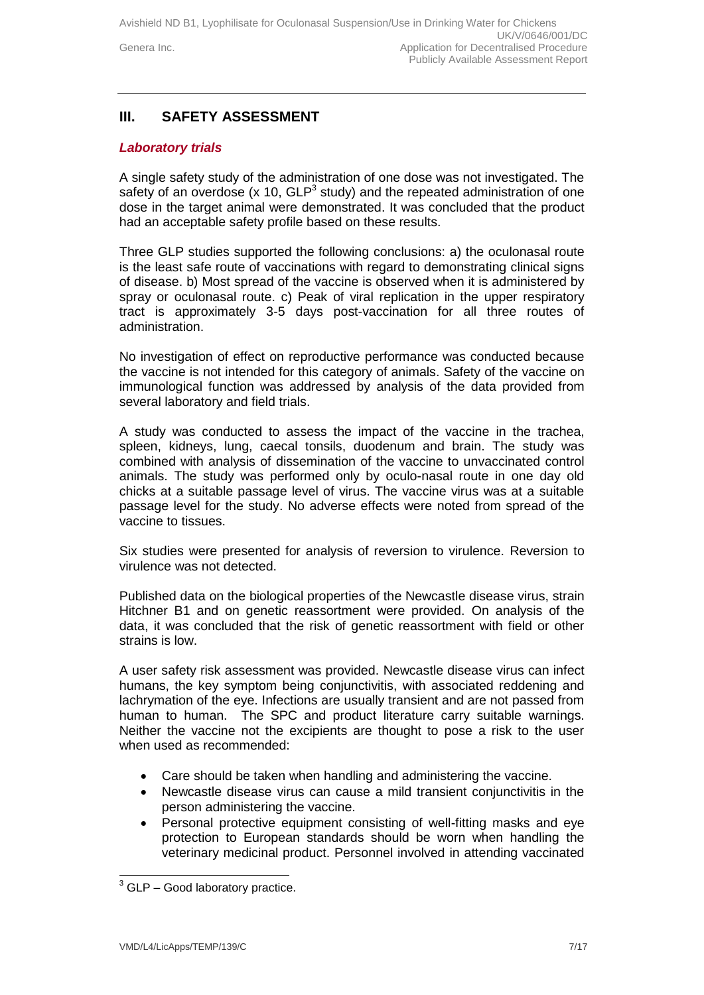### **III. SAFETY ASSESSMENT**

#### *Laboratory trials*

A single safety study of the administration of one dose was not investigated. The safety of an overdose ( $x$  10,  $GLP<sup>3</sup>$  study) and the repeated administration of one dose in the target animal were demonstrated. It was concluded that the product had an acceptable safety profile based on these results.

Three GLP studies supported the following conclusions: a) the oculonasal route is the least safe route of vaccinations with regard to demonstrating clinical signs of disease. b) Most spread of the vaccine is observed when it is administered by spray or oculonasal route. c) Peak of viral replication in the upper respiratory tract is approximately 3-5 days post-vaccination for all three routes of administration.

No investigation of effect on reproductive performance was conducted because the vaccine is not intended for this category of animals. Safety of the vaccine on immunological function was addressed by analysis of the data provided from several laboratory and field trials.

A study was conducted to assess the impact of the vaccine in the trachea, spleen, kidneys, lung, caecal tonsils, duodenum and brain. The study was combined with analysis of dissemination of the vaccine to unvaccinated control animals. The study was performed only by oculo-nasal route in one day old chicks at a suitable passage level of virus. The vaccine virus was at a suitable passage level for the study. No adverse effects were noted from spread of the vaccine to tissues.

Six studies were presented for analysis of reversion to virulence. Reversion to virulence was not detected.

Published data on the biological properties of the Newcastle disease virus, strain Hitchner B1 and on genetic reassortment were provided. On analysis of the data, it was concluded that the risk of genetic reassortment with field or other strains is low.

A user safety risk assessment was provided. Newcastle disease virus can infect humans, the key symptom being conjunctivitis, with associated reddening and lachrymation of the eye. Infections are usually transient and are not passed from human to human. The SPC and product literature carry suitable warnings. Neither the vaccine not the excipients are thought to pose a risk to the user when used as recommended:

- Care should be taken when handling and administering the vaccine.
- Newcastle disease virus can cause a mild transient conjunctivitis in the person administering the vaccine.
- Personal protective equipment consisting of well-fitting masks and eye protection to European standards should be worn when handling the veterinary medicinal product. Personnel involved in attending vaccinated

-

 $3$  GLP – Good laboratory practice.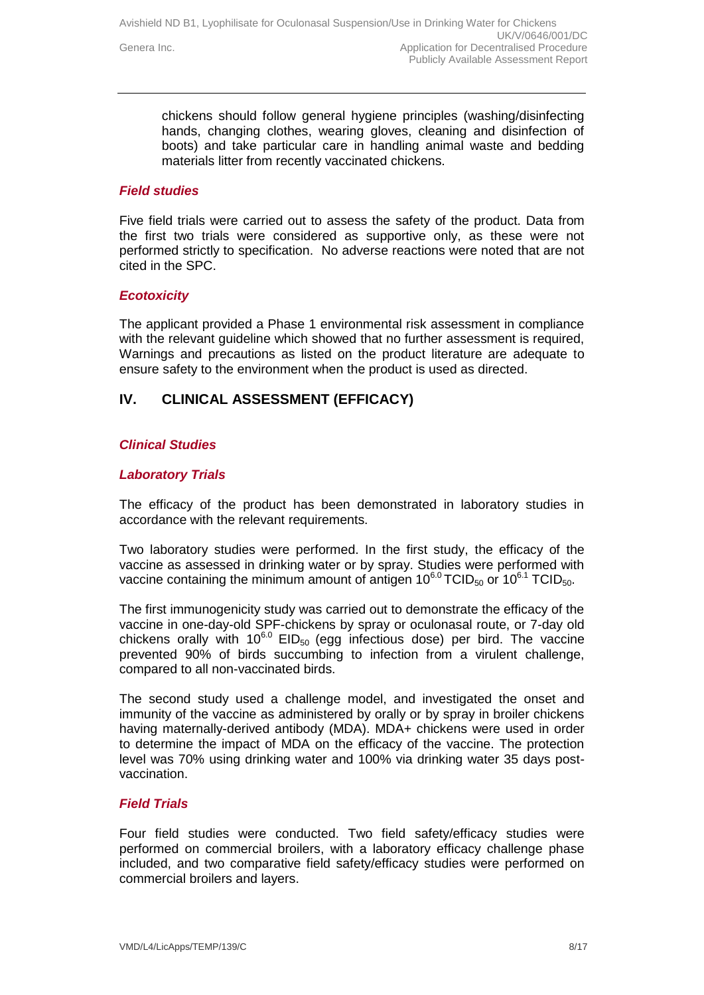chickens should follow general hygiene principles (washing/disinfecting hands, changing clothes, wearing gloves, cleaning and disinfection of boots) and take particular care in handling animal waste and bedding materials litter from recently vaccinated chickens.

#### *Field studies*

Five field trials were carried out to assess the safety of the product. Data from the first two trials were considered as supportive only, as these were not performed strictly to specification. No adverse reactions were noted that are not cited in the SPC.

#### *Ecotoxicity*

The applicant provided a Phase 1 environmental risk assessment in compliance with the relevant guideline which showed that no further assessment is required, Warnings and precautions as listed on the product literature are adequate to ensure safety to the environment when the product is used as directed.

## **IV. CLINICAL ASSESSMENT (EFFICACY)**

#### *Clinical Studies*

#### *Laboratory Trials*

The efficacy of the product has been demonstrated in laboratory studies in accordance with the relevant requirements.

Two laboratory studies were performed. In the first study, the efficacy of the vaccine as assessed in drinking water or by spray. Studies were performed with vaccine containing the minimum amount of antigen  $10^{6.0}$  TCID<sub>50</sub> or  $10^{6.1}$  TCID<sub>50</sub>.

The first immunogenicity study was carried out to demonstrate the efficacy of the vaccine in one-day-old SPF-chickens by spray or oculonasal route, or 7-day old chickens orally with  $10^{6.0}$  EID<sub>50</sub> (egg infectious dose) per bird. The vaccine prevented 90% of birds succumbing to infection from a virulent challenge, compared to all non-vaccinated birds.

The second study used a challenge model, and investigated the onset and immunity of the vaccine as administered by orally or by spray in broiler chickens having maternally-derived antibody (MDA). MDA+ chickens were used in order to determine the impact of MDA on the efficacy of the vaccine. The protection level was 70% using drinking water and 100% via drinking water 35 days postvaccination.

#### *Field Trials*

Four field studies were conducted. Two field safety/efficacy studies were performed on commercial broilers, with a laboratory efficacy challenge phase included, and two comparative field safety/efficacy studies were performed on commercial broilers and layers.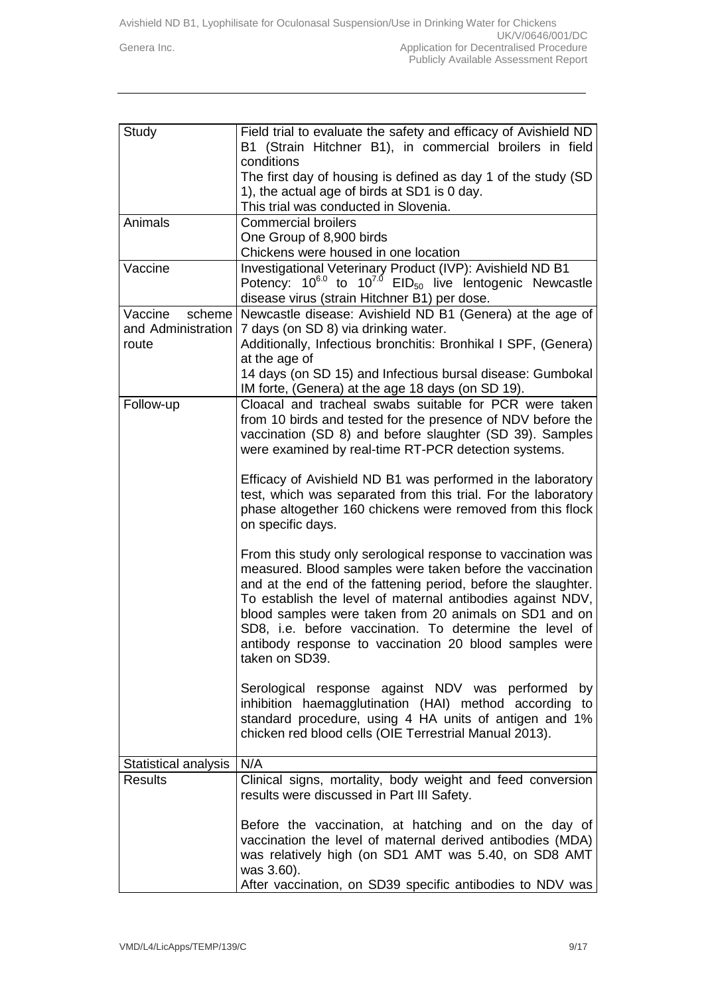Avishield ND B1, Lyophilisate for Oculonasal Suspension/Use in Drinking Water for Chickens UK/V/0646/001/DC Genera Inc. **Generally** Genera Inc. Publicly Available Assessment Report

| Study                | Field trial to evaluate the safety and efficacy of Avishield ND               |
|----------------------|-------------------------------------------------------------------------------|
|                      | B1 (Strain Hitchner B1), in commercial broilers in field                      |
|                      | conditions                                                                    |
|                      | The first day of housing is defined as day 1 of the study (SD                 |
|                      | 1), the actual age of birds at SD1 is 0 day.                                  |
|                      | This trial was conducted in Slovenia.                                         |
| Animals              | <b>Commercial broilers</b>                                                    |
|                      | One Group of 8,900 birds                                                      |
|                      | Chickens were housed in one location                                          |
| Vaccine              | Investigational Veterinary Product (IVP): Avishield ND B1                     |
|                      | Potency: $10^{6.0}$ to $10^{7.0}$ EID <sub>50</sub> live lentogenic Newcastle |
|                      | disease virus (strain Hitchner B1) per dose.                                  |
| Vaccine<br>scheme    | Newcastle disease: Avishield ND B1 (Genera) at the age of                     |
| and Administration   | 7 days (on SD 8) via drinking water.                                          |
| route                | Additionally, Infectious bronchitis: Bronhikal I SPF, (Genera)                |
|                      | at the age of                                                                 |
|                      | 14 days (on SD 15) and Infectious bursal disease: Gumbokal                    |
|                      | IM forte, (Genera) at the age 18 days (on SD 19).                             |
| Follow-up            | Cloacal and tracheal swabs suitable for PCR were taken                        |
|                      | from 10 birds and tested for the presence of NDV before the                   |
|                      | vaccination (SD 8) and before slaughter (SD 39). Samples                      |
|                      | were examined by real-time RT-PCR detection systems.                          |
|                      |                                                                               |
|                      | Efficacy of Avishield ND B1 was performed in the laboratory                   |
|                      | test, which was separated from this trial. For the laboratory                 |
|                      | phase altogether 160 chickens were removed from this flock                    |
|                      | on specific days.                                                             |
|                      |                                                                               |
|                      | From this study only serological response to vaccination was                  |
|                      | measured. Blood samples were taken before the vaccination                     |
|                      | and at the end of the fattening period, before the slaughter.                 |
|                      | To establish the level of maternal antibodies against NDV,                    |
|                      | blood samples were taken from 20 animals on SD1 and on                        |
|                      | SD8, i.e. before vaccination. To determine the level of                       |
|                      | antibody response to vaccination 20 blood samples were                        |
|                      | taken on SD39.                                                                |
|                      |                                                                               |
|                      | Serological response against NDV was performed<br>by                          |
|                      | inhibition haemagglutination (HAI) method according to                        |
|                      | standard procedure, using 4 HA units of antigen and 1%                        |
|                      | chicken red blood cells (OIE Terrestrial Manual 2013).                        |
|                      |                                                                               |
| Statistical analysis | N/A                                                                           |
| <b>Results</b>       | Clinical signs, mortality, body weight and feed conversion                    |
|                      | results were discussed in Part III Safety.                                    |
|                      |                                                                               |
|                      | Before the vaccination, at hatching and on the day of                         |
|                      | vaccination the level of maternal derived antibodies (MDA)                    |
|                      | was relatively high (on SD1 AMT was 5.40, on SD8 AMT                          |
|                      | was 3.60).                                                                    |
|                      | After vaccination, on SD39 specific antibodies to NDV was                     |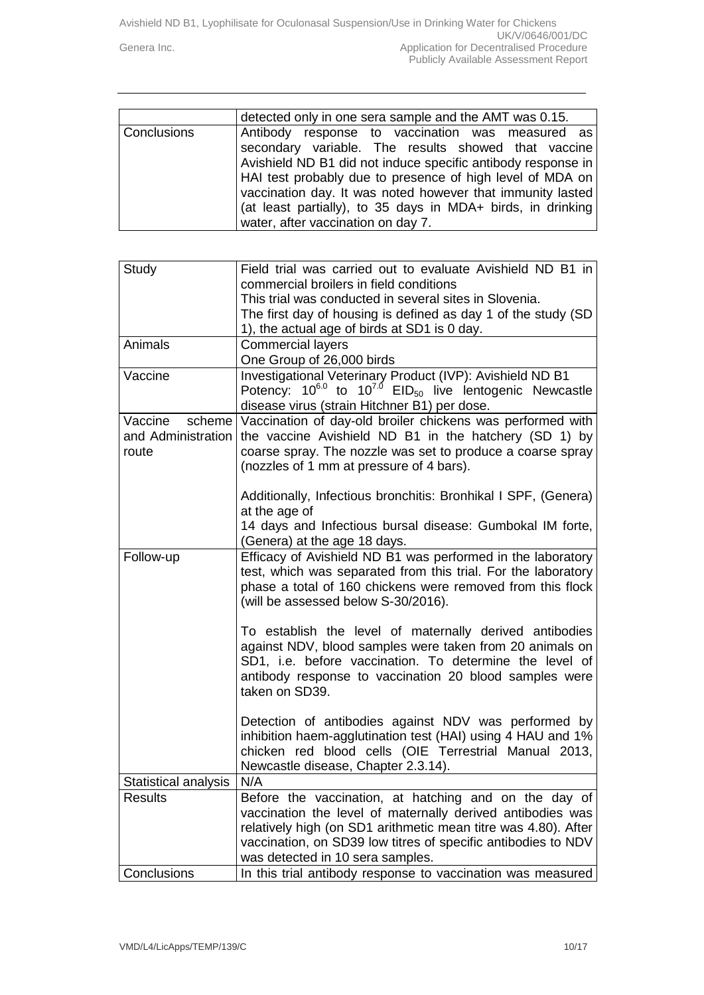Avishield ND B1, Lyophilisate for Oculonasal Suspension/Use in Drinking Water for Chickens UK/V/0646/001/DC Genera Inc. **Generally** Genera Inc. Publicly Available Assessment Report

|                    | detected only in one sera sample and the AMT was 0.15.                                                                                                                                                                                                                                                                                                                                                  |
|--------------------|---------------------------------------------------------------------------------------------------------------------------------------------------------------------------------------------------------------------------------------------------------------------------------------------------------------------------------------------------------------------------------------------------------|
| <b>Conclusions</b> | Antibody response to vaccination was measured as<br>secondary variable. The results showed that vaccine<br>Avishield ND B1 did not induce specific antibody response in<br>HAI test probably due to presence of high level of MDA on<br>vaccination day. It was noted however that immunity lasted<br>(at least partially), to 35 days in MDA+ birds, in drinking<br>water, after vaccination on day 7. |

| Study                | Field trial was carried out to evaluate Avishield ND B1 in                    |
|----------------------|-------------------------------------------------------------------------------|
|                      | commercial broilers in field conditions                                       |
|                      | This trial was conducted in several sites in Slovenia.                        |
|                      | The first day of housing is defined as day 1 of the study (SD                 |
|                      | 1), the actual age of birds at SD1 is 0 day.                                  |
| Animals              | <b>Commercial layers</b>                                                      |
|                      | One Group of 26,000 birds                                                     |
| Vaccine              | Investigational Veterinary Product (IVP): Avishield ND B1                     |
|                      | Potency: $10^{6.0}$ to $10^{7.0}$ EID <sub>50</sub> live lentogenic Newcastle |
|                      | disease virus (strain Hitchner B1) per dose.                                  |
| Vaccine              | scheme Vaccination of day-old broiler chickens was performed with             |
| and Administration   | the vaccine Avishield ND B1 in the hatchery (SD 1) by                         |
| route                | coarse spray. The nozzle was set to produce a coarse spray                    |
|                      | (nozzles of 1 mm at pressure of 4 bars).                                      |
|                      |                                                                               |
|                      | Additionally, Infectious bronchitis: Bronhikal I SPF, (Genera)                |
|                      | at the age of                                                                 |
|                      | 14 days and Infectious bursal disease: Gumbokal IM forte,                     |
|                      | (Genera) at the age 18 days.                                                  |
| Follow-up            | Efficacy of Avishield ND B1 was performed in the laboratory                   |
|                      | test, which was separated from this trial. For the laboratory                 |
|                      | phase a total of 160 chickens were removed from this flock                    |
|                      | (will be assessed below S-30/2016).                                           |
|                      | To establish the level of maternally derived antibodies                       |
|                      | against NDV, blood samples were taken from 20 animals on                      |
|                      | SD1, i.e. before vaccination. To determine the level of                       |
|                      | antibody response to vaccination 20 blood samples were                        |
|                      | taken on SD39.                                                                |
|                      |                                                                               |
|                      | Detection of antibodies against NDV was performed by                          |
|                      | inhibition haem-agglutination test (HAI) using 4 HAU and 1%                   |
|                      | chicken red blood cells (OIE Terrestrial Manual 2013,                         |
|                      | Newcastle disease, Chapter 2.3.14).                                           |
| Statistical analysis | N/A                                                                           |
| <b>Results</b>       | Before the vaccination, at hatching and on the day of                         |
|                      | vaccination the level of maternally derived antibodies was                    |
|                      | relatively high (on SD1 arithmetic mean titre was 4.80). After                |
|                      | vaccination, on SD39 low titres of specific antibodies to NDV                 |
|                      | was detected in 10 sera samples.                                              |
| Conclusions          | In this trial antibody response to vaccination was measured                   |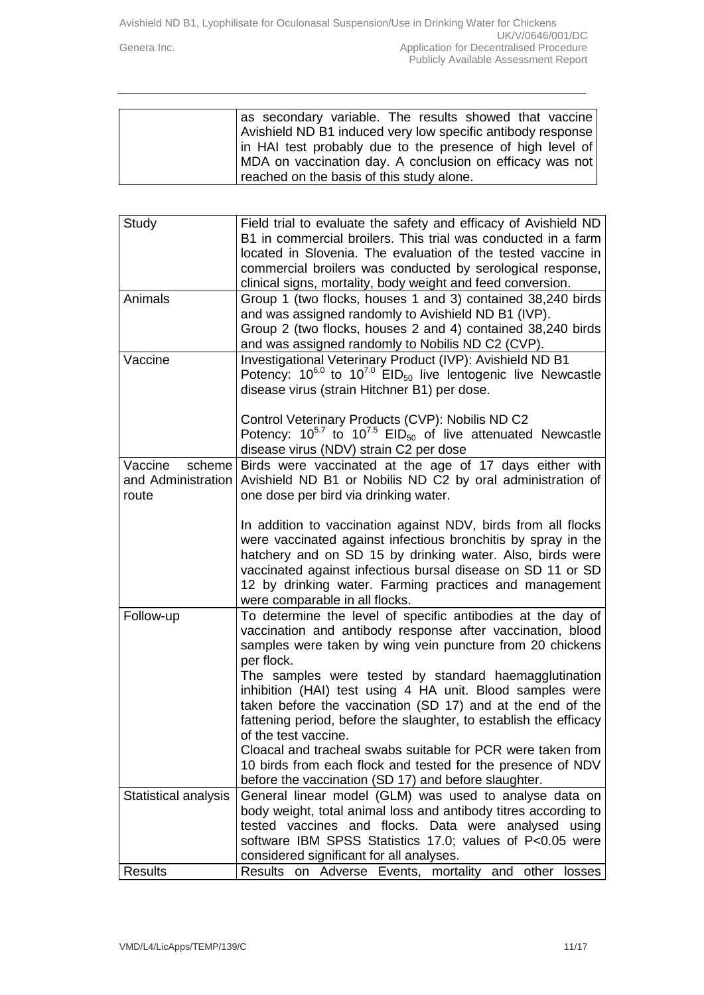| as secondary variable. The results showed that vaccine      |
|-------------------------------------------------------------|
| Avishield ND B1 induced very low specific antibody response |
| in HAI test probably due to the presence of high level of   |
| MDA on vaccination day. A conclusion on efficacy was not    |
| reached on the basis of this study alone.                   |

| Study                | Field trial to evaluate the safety and efficacy of Avishield ND                                                                                 |
|----------------------|-------------------------------------------------------------------------------------------------------------------------------------------------|
|                      | B1 in commercial broilers. This trial was conducted in a farm                                                                                   |
|                      | located in Slovenia. The evaluation of the tested vaccine in                                                                                    |
|                      | commercial broilers was conducted by serological response,                                                                                      |
|                      | clinical signs, mortality, body weight and feed conversion.                                                                                     |
| Animals              | Group 1 (two flocks, houses 1 and 3) contained 38,240 birds<br>and was assigned randomly to Avishield ND B1 (IVP).                              |
|                      | Group 2 (two flocks, houses 2 and 4) contained 38,240 birds<br>and was assigned randomly to Nobilis ND C2 (CVP).                                |
| Vaccine              | Investigational Veterinary Product (IVP): Avishield ND B1<br>Potency: $10^{6.0}$ to $10^{7.0}$ EID <sub>50</sub> live lentogenic live Newcastle |
|                      | disease virus (strain Hitchner B1) per dose.                                                                                                    |
|                      | Control Veterinary Products (CVP): Nobilis ND C2                                                                                                |
|                      | Potency: $10^{5.7}$ to $10^{7.5}$ EID <sub>50</sub> of live attenuated Newcastle                                                                |
|                      | disease virus (NDV) strain C2 per dose                                                                                                          |
| Vaccine<br>scheme    | Birds were vaccinated at the age of 17 days either with                                                                                         |
| and Administration   | Avishield ND B1 or Nobilis ND C2 by oral administration of                                                                                      |
| route                | one dose per bird via drinking water.                                                                                                           |
|                      | In addition to vaccination against NDV, birds from all flocks                                                                                   |
|                      | were vaccinated against infectious bronchitis by spray in the                                                                                   |
|                      | hatchery and on SD 15 by drinking water. Also, birds were                                                                                       |
|                      | vaccinated against infectious bursal disease on SD 11 or SD                                                                                     |
|                      | 12 by drinking water. Farming practices and management                                                                                          |
|                      | were comparable in all flocks.                                                                                                                  |
| Follow-up            | To determine the level of specific antibodies at the day of<br>vaccination and antibody response after vaccination, blood                       |
|                      | samples were taken by wing vein puncture from 20 chickens                                                                                       |
|                      | per flock.                                                                                                                                      |
|                      | The samples were tested by standard haemagglutination                                                                                           |
|                      | inhibition (HAI) test using 4 HA unit. Blood samples were                                                                                       |
|                      | taken before the vaccination (SD 17) and at the end of the                                                                                      |
|                      | fattening period, before the slaughter, to establish the efficacy                                                                               |
|                      | of the test vaccine.                                                                                                                            |
|                      | Cloacal and tracheal swabs suitable for PCR were taken from                                                                                     |
|                      | 10 birds from each flock and tested for the presence of NDV                                                                                     |
|                      | before the vaccination (SD 17) and before slaughter.                                                                                            |
| Statistical analysis | General linear model (GLM) was used to analyse data on                                                                                          |
|                      | body weight, total animal loss and antibody titres according to                                                                                 |
|                      | tested vaccines and flocks. Data were analysed using<br>software IBM SPSS Statistics 17.0; values of P<0.05 were                                |
|                      | considered significant for all analyses.                                                                                                        |
| <b>Results</b>       | on Adverse Events, mortality and other<br>Results<br>losses                                                                                     |
|                      |                                                                                                                                                 |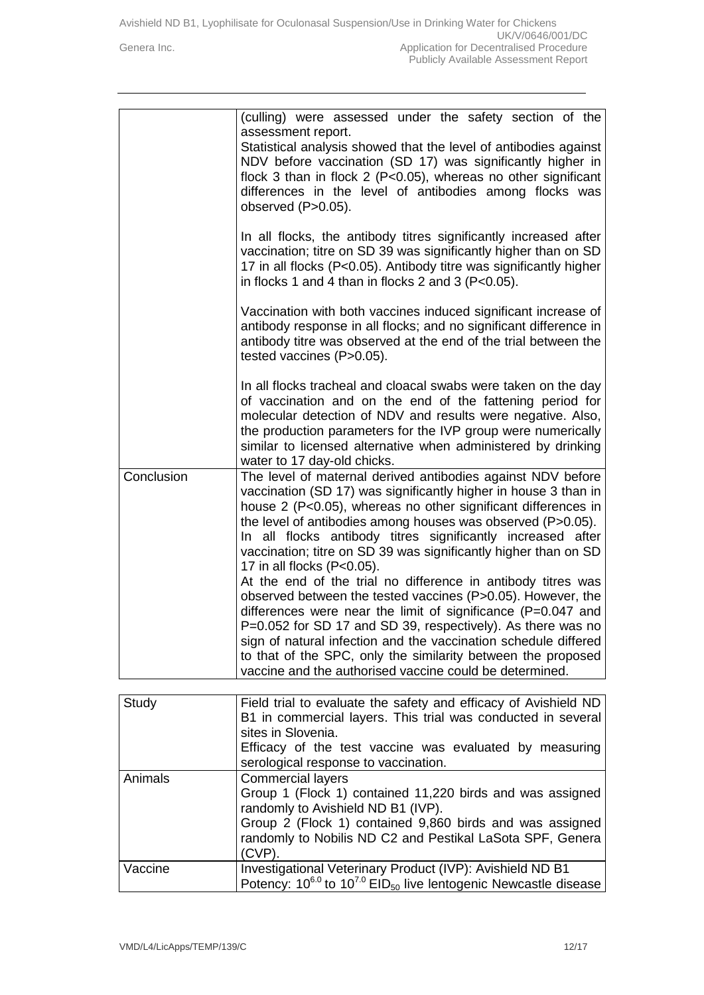|            | (culling) were assessed under the safety section of the<br>assessment report.<br>Statistical analysis showed that the level of antibodies against<br>NDV before vaccination (SD 17) was significantly higher in<br>flock 3 than in flock 2 ( $P<0.05$ ), whereas no other significant<br>differences in the level of antibodies among flocks was<br>observed (P>0.05).<br>In all flocks, the antibody titres significantly increased after               |
|------------|----------------------------------------------------------------------------------------------------------------------------------------------------------------------------------------------------------------------------------------------------------------------------------------------------------------------------------------------------------------------------------------------------------------------------------------------------------|
|            | vaccination; titre on SD 39 was significantly higher than on SD<br>17 in all flocks (P<0.05). Antibody titre was significantly higher<br>in flocks 1 and 4 than in flocks 2 and 3 ( $P < 0.05$ ).                                                                                                                                                                                                                                                        |
|            | Vaccination with both vaccines induced significant increase of<br>antibody response in all flocks; and no significant difference in<br>antibody titre was observed at the end of the trial between the<br>tested vaccines (P>0.05).                                                                                                                                                                                                                      |
|            | In all flocks tracheal and cloacal swabs were taken on the day<br>of vaccination and on the end of the fattening period for<br>molecular detection of NDV and results were negative. Also,<br>the production parameters for the IVP group were numerically<br>similar to licensed alternative when administered by drinking<br>water to 17 day-old chicks.                                                                                               |
| Conclusion | The level of maternal derived antibodies against NDV before<br>vaccination (SD 17) was significantly higher in house 3 than in<br>house 2 (P<0.05), whereas no other significant differences in<br>the level of antibodies among houses was observed (P>0.05).<br>In all flocks antibody titres significantly increased after<br>vaccination; titre on SD 39 was significantly higher than on SD<br>17 in all flocks (P<0.05).                           |
|            | At the end of the trial no difference in antibody titres was<br>observed between the tested vaccines (P>0.05). However, the<br>differences were near the limit of significance (P=0.047 and<br>P=0.052 for SD 17 and SD 39, respectively). As there was no<br>sign of natural infection and the vaccination schedule differed<br>to that of the SPC, only the similarity between the proposed<br>vaccine and the authorised vaccine could be determined. |
| Study      | Field trial to evaluate the safety and efficacy of Avishield ND<br>B1 in commercial layers. This trial was conducted in several                                                                                                                                                                                                                                                                                                                          |
|            | sites in Slovenia.<br>Efficacy of the test vaccine was evaluated by measuring<br>serological response to vaccination.                                                                                                                                                                                                                                                                                                                                    |
| Animals    | <b>Commercial layers</b><br>Group 1 (Flock 1) contained 11,220 birds and was assigned<br>randomly to Avishield ND B1 (IVP).<br>Group 2 (Flock 1) contained 9,860 birds and was assigned<br>randomly to Nobilis ND C2 and Pestikal LaSota SPF, Genera<br>$(CVP)$ .                                                                                                                                                                                        |

Vaccine | Investigational Veterinary Product (IVP): Avishield ND B1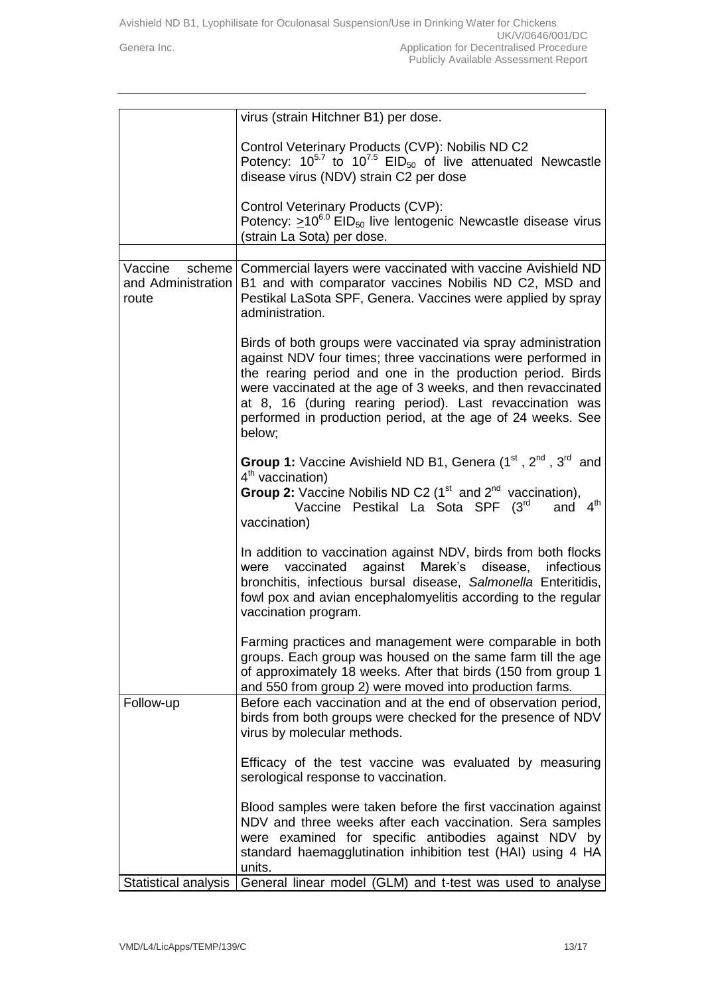|                                        | virus (strain Hitchner B1) per dose.                                                                                                                                                                                                                                                                                                                                                             |
|----------------------------------------|--------------------------------------------------------------------------------------------------------------------------------------------------------------------------------------------------------------------------------------------------------------------------------------------------------------------------------------------------------------------------------------------------|
|                                        | Control Veterinary Products (CVP): Nobilis ND C2<br>Potency: $10^{57}$ to $10^{75}$ EID <sub>50</sub> of live attenuated Newcastle<br>disease virus (NDV) strain C2 per dose                                                                                                                                                                                                                     |
|                                        | Control Veterinary Products (CVP):<br>Potency: $\geq 10^{6.0}$ EID <sub>50</sub> live lentogenic Newcastle disease virus<br>(strain La Sota) per dose.                                                                                                                                                                                                                                           |
| Vaccine<br>and Administration<br>route | scheme   Commercial layers were vaccinated with vaccine Avishield ND<br>B1 and with comparator vaccines Nobilis ND C2, MSD and<br>Pestikal LaSota SPF, Genera. Vaccines were applied by spray<br>administration.                                                                                                                                                                                 |
|                                        | Birds of both groups were vaccinated via spray administration<br>against NDV four times; three vaccinations were performed in<br>the rearing period and one in the production period. Birds<br>were vaccinated at the age of 3 weeks, and then revaccinated<br>at 8, 16 (during rearing period). Last revaccination was<br>performed in production period, at the age of 24 weeks. See<br>below; |
|                                        | <b>Group 1:</b> Vaccine Avishield ND B1, Genera $(1^{st}, 2^{nd}, 3^{rd}$ and<br>$4th$ vaccination)<br>Group 2: Vaccine Nobilis ND C2 ( $1st$ and $2nd$ vaccination),<br>4 <sup>th</sup><br>Vaccine Pestikal La Sota SPF (3rd<br>and<br>vaccination)                                                                                                                                             |
|                                        | In addition to vaccination against NDV, birds from both flocks<br>were vaccinated against Marek's disease, infectious<br>bronchitis, infectious bursal disease, Salmonella Enteritidis,<br>fowl pox and avian encephalomyelitis according to the regular<br>vaccination program.                                                                                                                 |
|                                        | Farming practices and management were comparable in both<br>groups. Each group was housed on the same farm till the age<br>of approximately 18 weeks. After that birds (150 from group 1<br>and 550 from group 2) were moved into production farms.                                                                                                                                              |
| Follow-up                              | Before each vaccination and at the end of observation period,<br>birds from both groups were checked for the presence of NDV<br>virus by molecular methods.                                                                                                                                                                                                                                      |
|                                        | Efficacy of the test vaccine was evaluated by measuring<br>serological response to vaccination.                                                                                                                                                                                                                                                                                                  |
|                                        | Blood samples were taken before the first vaccination against<br>NDV and three weeks after each vaccination. Sera samples<br>were examined for specific antibodies against NDV by<br>standard haemagglutination inhibition test (HAI) using 4 HA<br>units.                                                                                                                                       |
| Statistical analysis                   | General linear model (GLM) and t-test was used to analyse                                                                                                                                                                                                                                                                                                                                        |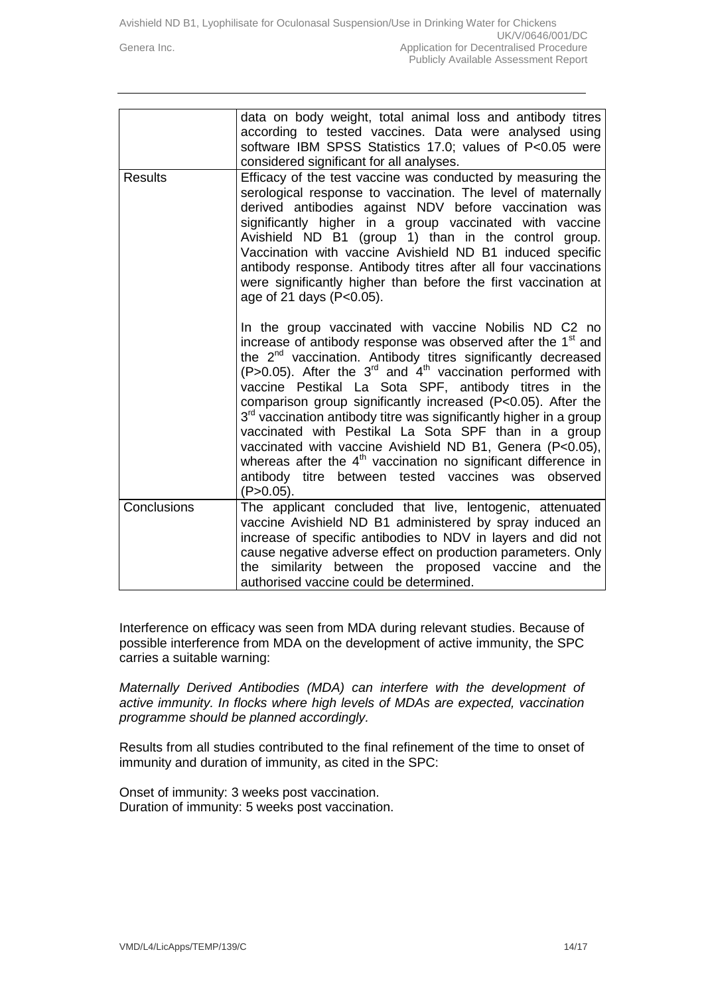|                | data on body weight, total animal loss and antibody titres<br>according to tested vaccines. Data were analysed using<br>software IBM SPSS Statistics 17.0; values of P<0.05 were<br>considered significant for all analyses.                                                                                                                                                                                                                                                                                                                                                                                                                                                                                                                                           |
|----------------|------------------------------------------------------------------------------------------------------------------------------------------------------------------------------------------------------------------------------------------------------------------------------------------------------------------------------------------------------------------------------------------------------------------------------------------------------------------------------------------------------------------------------------------------------------------------------------------------------------------------------------------------------------------------------------------------------------------------------------------------------------------------|
| <b>Results</b> | Efficacy of the test vaccine was conducted by measuring the<br>serological response to vaccination. The level of maternally<br>derived antibodies against NDV before vaccination was<br>significantly higher in a group vaccinated with vaccine<br>Avishield ND B1 (group 1) than in the control group.<br>Vaccination with vaccine Avishield ND B1 induced specific<br>antibody response. Antibody titres after all four vaccinations<br>were significantly higher than before the first vaccination at<br>age of 21 days (P<0.05).                                                                                                                                                                                                                                   |
|                | In the group vaccinated with vaccine Nobilis ND C2 no<br>increase of antibody response was observed after the 1 <sup>st</sup> and<br>the 2 <sup>nd</sup> vaccination. Antibody titres significantly decreased<br>(P>0.05). After the $3rd$ and $4th$ vaccination performed with<br>vaccine Pestikal La Sota SPF, antibody titres in the<br>comparison group significantly increased (P<0.05). After the<br>3 <sup>rd</sup> vaccination antibody titre was significantly higher in a group<br>vaccinated with Pestikal La Sota SPF than in a group<br>vaccinated with vaccine Avishield ND B1, Genera (P<0.05),<br>whereas after the 4 <sup>th</sup> vaccination no significant difference in<br>antibody titre between tested vaccines was<br>observed<br>$(P>0.05)$ . |
| Conclusions    | The applicant concluded that live, lentogenic, attenuated<br>vaccine Avishield ND B1 administered by spray induced an<br>increase of specific antibodies to NDV in layers and did not<br>cause negative adverse effect on production parameters. Only<br>the similarity between the proposed vaccine and the<br>authorised vaccine could be determined.                                                                                                                                                                                                                                                                                                                                                                                                                |

Interference on efficacy was seen from MDA during relevant studies. Because of possible interference from MDA on the development of active immunity, the SPC carries a suitable warning:

*Maternally Derived Antibodies (MDA) can interfere with the development of active immunity. In flocks where high levels of MDAs are expected, vaccination programme should be planned accordingly.*

Results from all studies contributed to the final refinement of the time to onset of immunity and duration of immunity, as cited in the SPC:

Onset of immunity: 3 weeks post vaccination. Duration of immunity: 5 weeks post vaccination.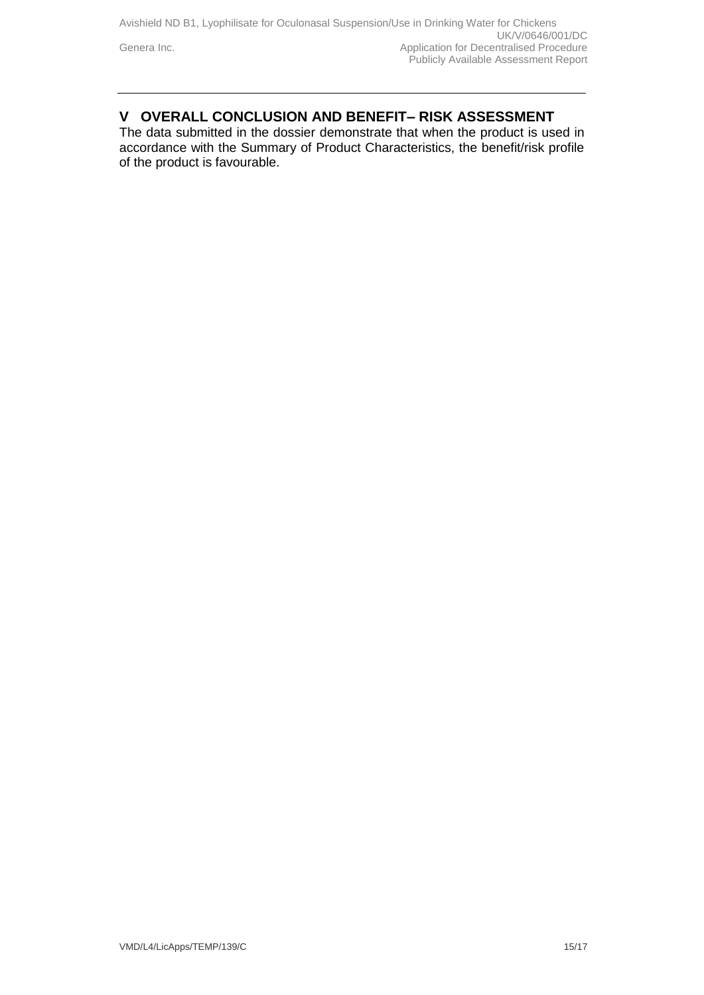## **V OVERALL CONCLUSION AND BENEFIT– RISK ASSESSMENT**

The data submitted in the dossier demonstrate that when the product is used in accordance with the Summary of Product Characteristics, the benefit/risk profile of the product is favourable.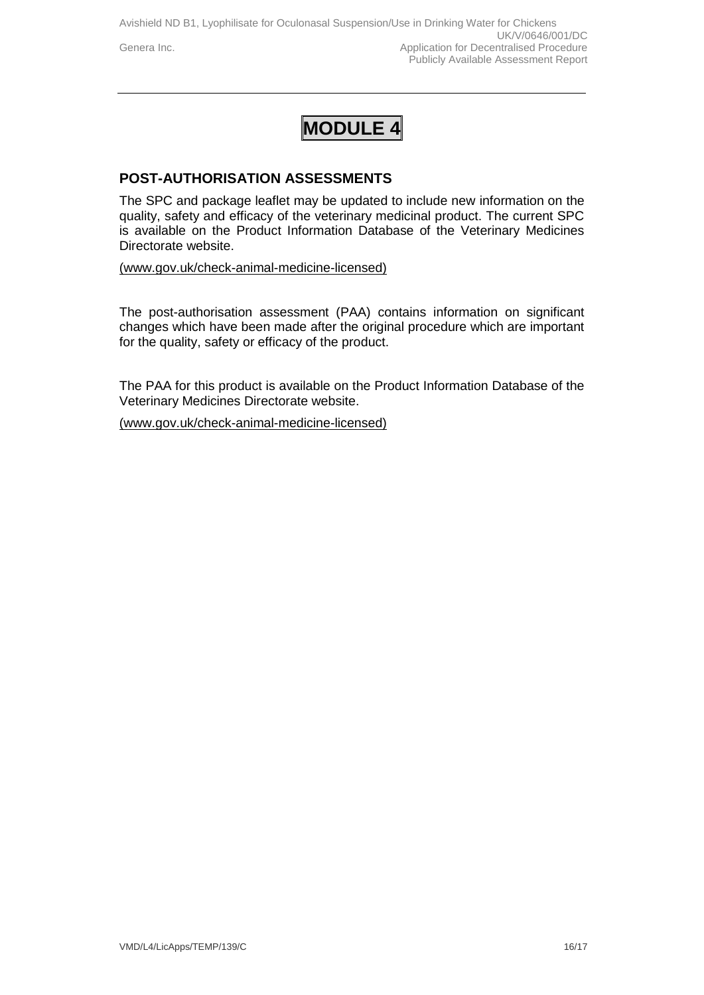## **MODULE 4**

### **POST-AUTHORISATION ASSESSMENTS**

The SPC and package leaflet may be updated to include new information on the quality, safety and efficacy of the veterinary medicinal product. The current SPC is available on the Product Information Database of the Veterinary Medicines Directorate website.

[\(www.gov.uk/check-animal-medicine-licensed\)](https://www.gov.uk/check-animal-medicine-licensed)

The post-authorisation assessment (PAA) contains information on significant changes which have been made after the original procedure which are important for the quality, safety or efficacy of the product.

The PAA for this product is available on the Product Information Database of the Veterinary Medicines Directorate website.

[\(www.gov.uk/check-animal-medicine-licensed\)](https://www.gov.uk/check-animal-medicine-licensed)